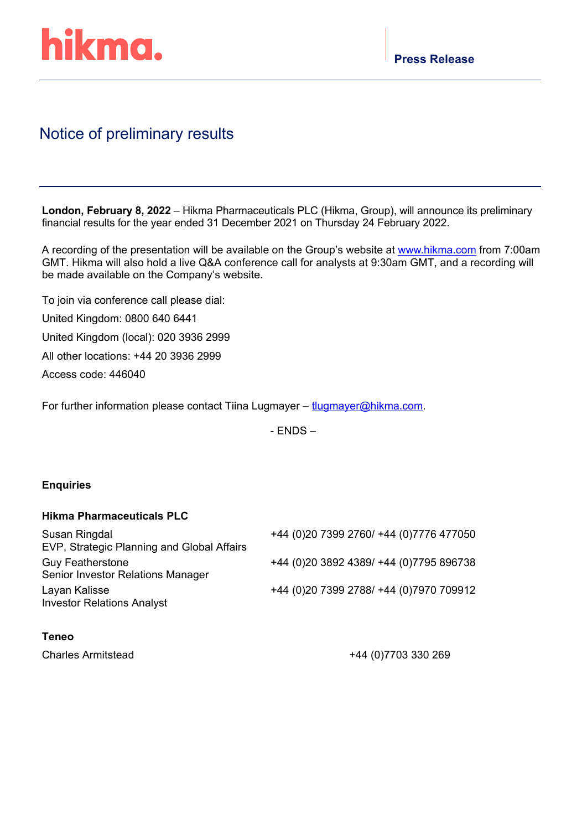

# Notice of preliminary results

**London, February 8, 2022** – Hikma Pharmaceuticals PLC (Hikma, Group), will announce its preliminary financial results for the year ended 31 December 2021 on Thursday 24 February 2022.

A recording of the presentation will be available on the Group's website at [www.hikma.com](http://www.hikma.com/) from 7:00am GMT. Hikma will also hold a live Q&A conference call for analysts at 9:30am GMT, and a recording will be made available on the Company's website.

To join via conference call please dial: United Kingdom: 0800 640 6441 United Kingdom (local): 020 3936 2999 All other locations: +44 20 3936 2999 Access code: 446040

For further information please contact Tiina Lugmayer – [tlugmayer@hikma.com.](mailto:tlugmayer@hikma.com)

- ENDS –

### **Enquiries**

## **Hikma Pharmaceuticals PLC**

| +44 (0)20 7399 2760/ +44 (0)7776 477050   |
|-------------------------------------------|
|                                           |
| +44 (0) 20 3892 4389/ +44 (0) 7795 896738 |
|                                           |
| +44 (0)20 7399 2788/ +44 (0)7970 709912   |
|                                           |
|                                           |

### **Teneo**

Charles Armitstead +44 (0)7703 330 269